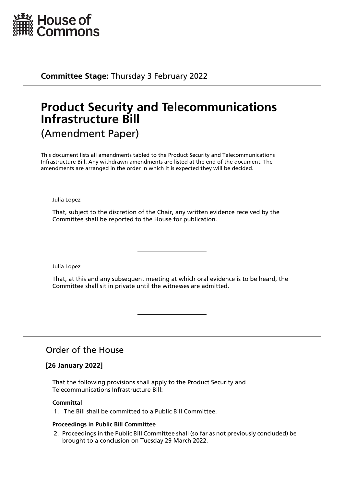

**Committee Stage:** Thursday 3 February 2022

# **Product Security and Telecommunications Infrastructure Bill** (Amendment Paper)

This document lists all amendments tabled to the Product Security and Telecommunications Infrastructure Bill. Any withdrawn amendments are listed at the end of the document. The amendments are arranged in the order in which it is expected they will be decided.

Julia Lopez

That, subject to the discretion of the Chair, any written evidence received by the Committee shall be reported to the House for publication.

Julia Lopez

That, at this and any subsequent meeting at which oral evidence is to be heard, the Committee shall sit in private until the witnesses are admitted.

# Order of the House

# **[26 January 2022]**

That the following provisions shall apply to the Product Security and Telecommunications Infrastructure Bill:

## **Committal**

1. The Bill shall be committed to a Public Bill Committee.

#### **Proceedings in Public Bill Committee**

2. Proceedings in the Public Bill Committee shall (so far as not previously concluded) be brought to a conclusion on Tuesday 29 March 2022.